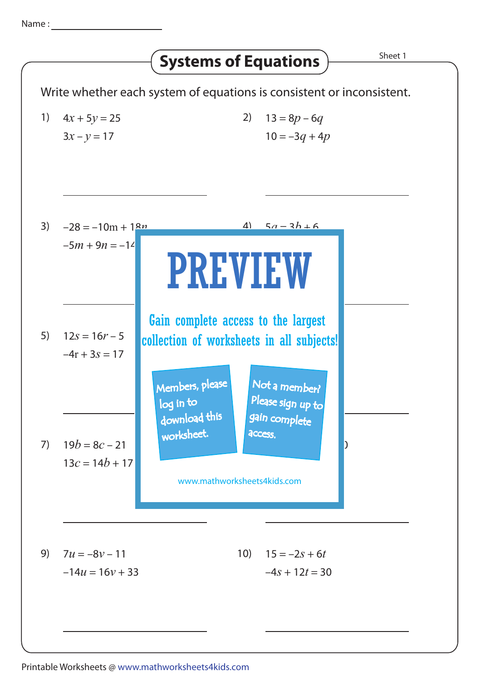